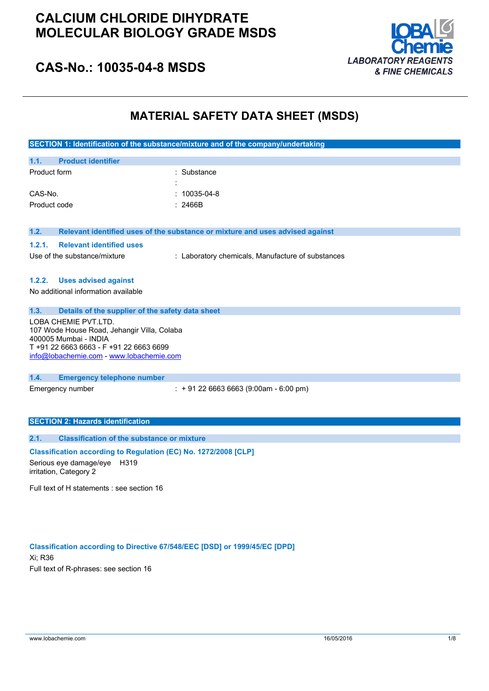

### **CAS-No.: 10035-04-8 MSDS**

### **MATERIAL SAFETY DATA SHEET (MSDS)**

|                                                                                                                                                                                     | SECTION 1: Identification of the substance/mixture and of the company/undertaking |
|-------------------------------------------------------------------------------------------------------------------------------------------------------------------------------------|-----------------------------------------------------------------------------------|
| 1.1.<br><b>Product identifier</b>                                                                                                                                                   |                                                                                   |
| Product form                                                                                                                                                                        | : Substance                                                                       |
| CAS-No.                                                                                                                                                                             | 10035-04-8                                                                        |
| Product code                                                                                                                                                                        | : 2466B                                                                           |
| 1.2.                                                                                                                                                                                | Relevant identified uses of the substance or mixture and uses advised against     |
| <b>Relevant identified uses</b><br>1.2.1.                                                                                                                                           |                                                                                   |
| Use of the substance/mixture                                                                                                                                                        | : Laboratory chemicals, Manufacture of substances                                 |
| <b>Uses advised against</b><br>1.2.2.                                                                                                                                               |                                                                                   |
| No additional information available                                                                                                                                                 |                                                                                   |
| 1.3.<br>Details of the supplier of the safety data sheet                                                                                                                            |                                                                                   |
| LOBA CHEMIE PVT.LTD.<br>107 Wode House Road, Jehangir Villa, Colaba<br>400005 Mumbai - INDIA<br>T +91 22 6663 6663 - F +91 22 6663 6699<br>info@lobachemie.com - www.lobachemie.com |                                                                                   |
| 1.4.<br><b>Emergency telephone number</b>                                                                                                                                           |                                                                                   |
| Emergency number                                                                                                                                                                    | $: +912266636663(9:00am - 6:00 pm)$                                               |
| <b>SECTION 2: Hazards identification</b>                                                                                                                                            |                                                                                   |
| <b>Classification of the substance or mixture</b><br>2.1.                                                                                                                           |                                                                                   |
| Classification according to Regulation (EC) No. 1272/2008 [CLP]<br>Serious eye damage/eye<br>H319<br>irritation, Category 2                                                         |                                                                                   |
| Full text of H statements : see section 16                                                                                                                                          |                                                                                   |

**Classification according to Directive 67/548/EEC [DSD] or 1999/45/EC [DPD]** Xi; R36 Full text of R-phrases: see section 16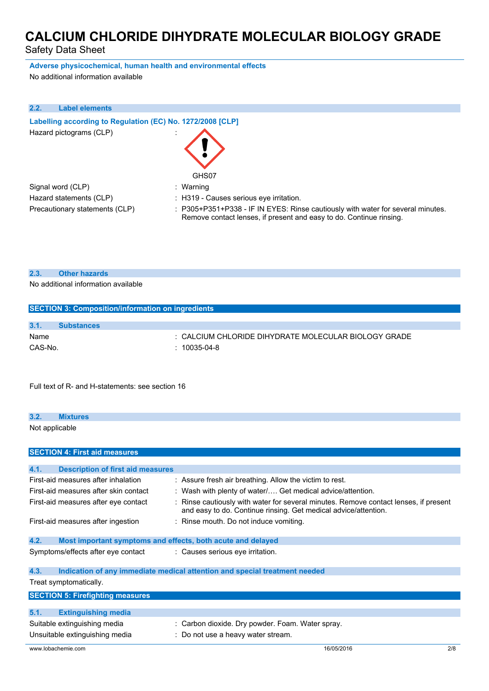Safety Data Sheet

**Adverse physicochemical, human health and environmental effects**

No additional information available

| 2.2. | <b>Label elements</b>                                      |                                                                                                                                                        |
|------|------------------------------------------------------------|--------------------------------------------------------------------------------------------------------------------------------------------------------|
|      | Labelling according to Regulation (EC) No. 1272/2008 [CLP] |                                                                                                                                                        |
|      | Hazard pictograms (CLP)                                    |                                                                                                                                                        |
|      |                                                            | GHS07                                                                                                                                                  |
|      | Signal word (CLP)                                          | : Warning                                                                                                                                              |
|      | Hazard statements (CLP)                                    | : H319 - Causes serious eye irritation.                                                                                                                |
|      | Precautionary statements (CLP)                             | : P305+P351+P338 - IF IN EYES: Rinse cautiously with water for several minutes.<br>Remove contact lenses, if present and easy to do. Continue rinsing. |

#### **2.3. Other hazards**

No additional information available

| <b>SECTION 3: Composition/information on ingredients</b> |                   |                                                      |
|----------------------------------------------------------|-------------------|------------------------------------------------------|
|                                                          |                   |                                                      |
| 3.1.                                                     | <b>Substances</b> |                                                      |
| Name                                                     |                   | : CALCIUM CHLORIDE DIHYDRATE MOLECULAR BIOLOGY GRADE |
| CAS-No.                                                  |                   | $: 10035-04-8$                                       |
|                                                          |                   |                                                      |

Full text of R- and H-statements: see section 16

## **3.2. Mixtures** Not applicable

| <b>SECTION 4: First aid measures</b>             |                                                                                                                                                         |     |
|--------------------------------------------------|---------------------------------------------------------------------------------------------------------------------------------------------------------|-----|
|                                                  |                                                                                                                                                         |     |
| 4.1.<br><b>Description of first aid measures</b> |                                                                                                                                                         |     |
| First-aid measures after inhalation              | : Assure fresh air breathing. Allow the victim to rest.                                                                                                 |     |
| First-aid measures after skin contact            | : Wash with plenty of water/ Get medical advice/attention.                                                                                              |     |
| First-aid measures after eye contact             | : Rinse cautiously with water for several minutes. Remove contact lenses, if present<br>and easy to do. Continue rinsing. Get medical advice/attention. |     |
| First-aid measures after ingestion               | : Rinse mouth. Do not induce vomiting.                                                                                                                  |     |
| 4.2.                                             | Most important symptoms and effects, both acute and delayed                                                                                             |     |
| Symptoms/effects after eye contact               | : Causes serious eye irritation.                                                                                                                        |     |
| 4.3.                                             | Indication of any immediate medical attention and special treatment needed                                                                              |     |
| Treat symptomatically.                           |                                                                                                                                                         |     |
| <b>SECTION 5: Firefighting measures</b>          |                                                                                                                                                         |     |
| 5.1.<br><b>Extinguishing media</b>               |                                                                                                                                                         |     |
| Suitable extinguishing media                     | : Carbon dioxide. Dry powder. Foam. Water spray.                                                                                                        |     |
| Unsuitable extinguishing media                   | : Do not use a heavy water stream.                                                                                                                      |     |
| www.lobachemie.com                               | 16/05/2016                                                                                                                                              | 2/8 |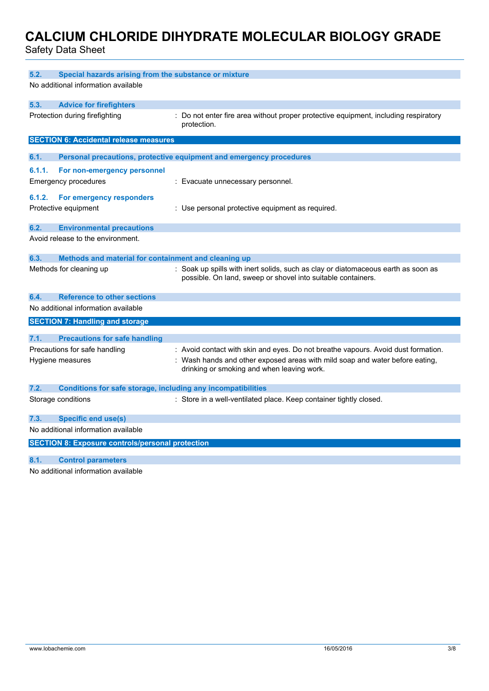Safety Data Sheet

| 5.2.<br>Special hazards arising from the substance or mixture        |                                                                                                                                                   |
|----------------------------------------------------------------------|---------------------------------------------------------------------------------------------------------------------------------------------------|
| No additional information available                                  |                                                                                                                                                   |
| 5.3.<br><b>Advice for firefighters</b>                               |                                                                                                                                                   |
| Protection during firefighting                                       | : Do not enter fire area without proper protective equipment, including respiratory<br>protection.                                                |
| <b>SECTION 6: Accidental release measures</b>                        |                                                                                                                                                   |
| 6.1.                                                                 | Personal precautions, protective equipment and emergency procedures                                                                               |
| 6.1.1.<br>For non-emergency personnel                                |                                                                                                                                                   |
| <b>Emergency procedures</b>                                          | : Evacuate unnecessary personnel.                                                                                                                 |
| 6.1.2.<br>For emergency responders                                   |                                                                                                                                                   |
| Protective equipment                                                 | : Use personal protective equipment as required.                                                                                                  |
|                                                                      |                                                                                                                                                   |
| 6.2.<br><b>Environmental precautions</b>                             |                                                                                                                                                   |
| Avoid release to the environment.                                    |                                                                                                                                                   |
| 6.3.<br>Methods and material for containment and cleaning up         |                                                                                                                                                   |
| Methods for cleaning up                                              | : Soak up spills with inert solids, such as clay or diatomaceous earth as soon as<br>possible. On land, sweep or shovel into suitable containers. |
| <b>Reference to other sections</b><br>6.4.                           |                                                                                                                                                   |
| No additional information available                                  |                                                                                                                                                   |
| <b>SECTION 7: Handling and storage</b>                               |                                                                                                                                                   |
| 7.1.<br><b>Precautions for safe handling</b>                         |                                                                                                                                                   |
| Precautions for safe handling                                        | : Avoid contact with skin and eyes. Do not breathe vapours. Avoid dust formation.                                                                 |
| Hygiene measures                                                     | Wash hands and other exposed areas with mild soap and water before eating,<br>drinking or smoking and when leaving work.                          |
| 7.2.<br>Conditions for safe storage, including any incompatibilities |                                                                                                                                                   |
| Storage conditions                                                   | : Store in a well-ventilated place. Keep container tightly closed.                                                                                |
| 7.3.<br><b>Specific end use(s)</b>                                   |                                                                                                                                                   |
| No additional information available                                  |                                                                                                                                                   |
| <b>SECTION 8: Exposure controls/personal protection</b>              |                                                                                                                                                   |
| 8.1.<br><b>Control parameters</b>                                    |                                                                                                                                                   |

No additional information available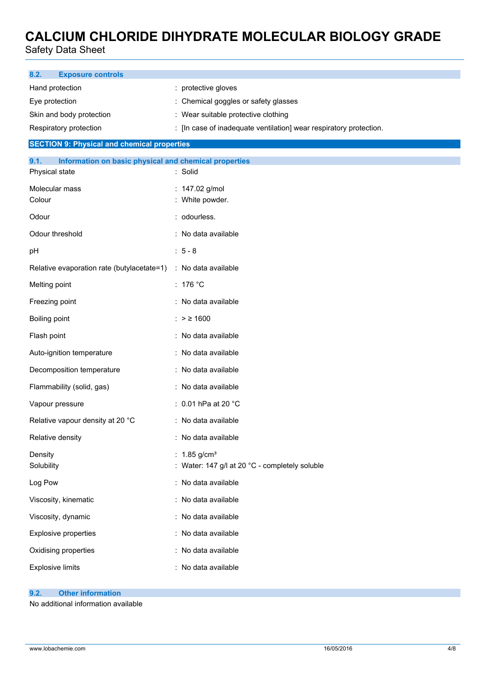Safety Data Sheet

| 8.2.<br><b>Exposure controls</b>                                                |                                                                            |
|---------------------------------------------------------------------------------|----------------------------------------------------------------------------|
| Hand protection                                                                 | : protective gloves                                                        |
| Eye protection                                                                  | Chemical goggles or safety glasses                                         |
| Skin and body protection                                                        | : Wear suitable protective clothing                                        |
| Respiratory protection                                                          | : [In case of inadequate ventilation] wear respiratory protection.         |
| <b>SECTION 9: Physical and chemical properties</b>                              |                                                                            |
| 9.1.<br>Information on basic physical and chemical properties<br>Physical state | : Solid                                                                    |
| Molecular mass<br>Colour                                                        | : 147.02 g/mol<br>White powder.                                            |
| Odour                                                                           | : odourless.                                                               |
| Odour threshold                                                                 | : No data available                                                        |
| pH                                                                              | $: 5 - 8$                                                                  |
| Relative evaporation rate (butylacetate=1)                                      | : No data available                                                        |
| Melting point                                                                   | : $176 °C$                                                                 |
| Freezing point                                                                  | : No data available                                                        |
| Boiling point                                                                   | : > ≥ 1600                                                                 |
| Flash point                                                                     | : No data available                                                        |
| Auto-ignition temperature                                                       | : No data available                                                        |
| Decomposition temperature                                                       | : No data available                                                        |
| Flammability (solid, gas)                                                       | : No data available                                                        |
| Vapour pressure                                                                 | : 0.01 hPa at 20 °C                                                        |
| Relative vapour density at 20 °C                                                | : No data available                                                        |
| Relative density                                                                | : No data available                                                        |
| Density<br>Solubility                                                           | : $1.85$ g/cm <sup>3</sup><br>Water: 147 g/l at 20 °C - completely soluble |
| Log Pow                                                                         | : No data available                                                        |
| Viscosity, kinematic                                                            | : No data available                                                        |
| Viscosity, dynamic                                                              | : No data available                                                        |
| <b>Explosive properties</b>                                                     | : No data available                                                        |
| Oxidising properties                                                            | : No data available                                                        |
| <b>Explosive limits</b>                                                         | : No data available                                                        |

#### **9.2. Other information**

No additional information available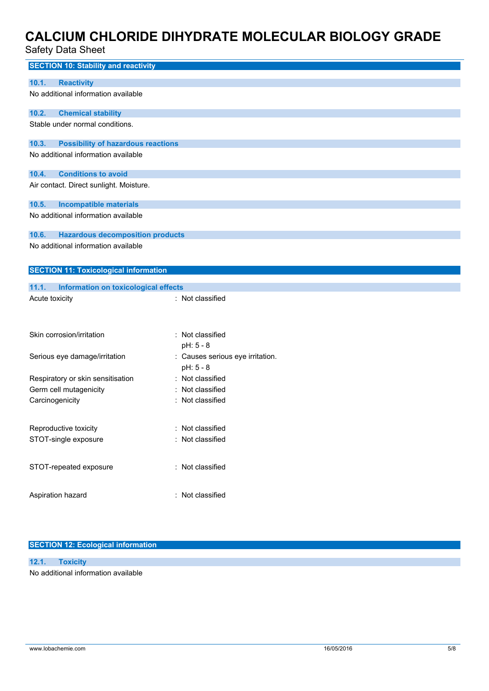### Safety Data Sheet

| <b>SECTION 10: Stability and reactivity</b>        |                                  |
|----------------------------------------------------|----------------------------------|
| <b>Reactivity</b><br>10.1.                         |                                  |
| No additional information available                |                                  |
| 10.2.<br><b>Chemical stability</b>                 |                                  |
| Stable under normal conditions.                    |                                  |
| 10.3.<br><b>Possibility of hazardous reactions</b> |                                  |
| No additional information available                |                                  |
| <b>Conditions to avoid</b><br>10.4.                |                                  |
| Air contact. Direct sunlight. Moisture.            |                                  |
| 10.5.<br><b>Incompatible materials</b>             |                                  |
| No additional information available                |                                  |
| 10.6.<br><b>Hazardous decomposition products</b>   |                                  |
| No additional information available                |                                  |
| <b>SECTION 11: Toxicological information</b>       |                                  |
| 11.1.<br>Information on toxicological effects      |                                  |
| Acute toxicity                                     | : Not classified                 |
|                                                    |                                  |
| Skin corrosion/irritation                          | : Not classified<br>pH: 5 - 8    |
| Serious eye damage/irritation                      | : Causes serious eye irritation. |
|                                                    | pH: 5 - 8                        |
| Respiratory or skin sensitisation                  | : Not classified                 |
| Germ cell mutagenicity                             | Not classified                   |
| Carcinogenicity                                    | : Not classified                 |
|                                                    |                                  |
| Reproductive toxicity                              |                                  |
|                                                    | Not classified                   |
| STOT-single exposure                               | : Not classified                 |
|                                                    |                                  |
| STOT-repeated exposure                             | : Not classified                 |
|                                                    |                                  |
| Aspiration hazard                                  | : Not classified                 |

#### **SECTION 12: Ecological information**

#### **12.1. Toxicity** No additional information available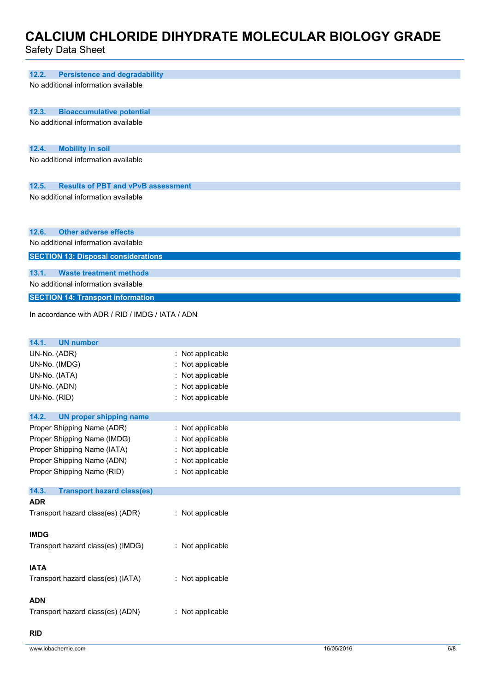Safety Data Sheet

| Saltiy Dala Shitti                                                               |                                      |
|----------------------------------------------------------------------------------|--------------------------------------|
|                                                                                  |                                      |
| 12.2.<br><b>Persistence and degradability</b>                                    |                                      |
| No additional information available                                              |                                      |
|                                                                                  |                                      |
| 12.3.<br><b>Bioaccumulative potential</b><br>No additional information available |                                      |
|                                                                                  |                                      |
|                                                                                  |                                      |
| 12.4.<br><b>Mobility in soil</b><br>No additional information available          |                                      |
|                                                                                  |                                      |
| <b>Results of PBT and vPvB assessment</b><br>12.5.                               |                                      |
| No additional information available                                              |                                      |
|                                                                                  |                                      |
|                                                                                  |                                      |
| <b>Other adverse effects</b><br>12.6.                                            |                                      |
| No additional information available                                              |                                      |
| <b>SECTION 13: Disposal considerations</b>                                       |                                      |
| 13.1.<br><b>Waste treatment methods</b>                                          |                                      |
| No additional information available                                              |                                      |
| <b>SECTION 14: Transport information</b>                                         |                                      |
| In accordance with ADR / RID / IMDG / IATA / ADN                                 |                                      |
|                                                                                  |                                      |
| 14.1.<br><b>UN number</b>                                                        |                                      |
| UN-No. (ADR)                                                                     | : Not applicable                     |
| UN-No. (IMDG)                                                                    | Not applicable                       |
| UN-No. (IATA)                                                                    | Not applicable                       |
| UN-No. (ADN)                                                                     | Not applicable                       |
| UN-No. (RID)                                                                     | : Not applicable                     |
|                                                                                  |                                      |
| 14.2.<br><b>UN proper shipping name</b><br>Proper Shipping Name (ADR)            |                                      |
| Proper Shipping Name (IMDG)                                                      | : Not applicable<br>: Not applicable |
| Proper Shipping Name (IATA)                                                      | : Not applicable                     |
| Proper Shipping Name (ADN)                                                       | : Not applicable                     |
| Proper Shipping Name (RID)                                                       | : Not applicable                     |
|                                                                                  |                                      |
| 14.3.<br><b>Transport hazard class(es)</b>                                       |                                      |
| <b>ADR</b>                                                                       |                                      |
| Transport hazard class(es) (ADR)                                                 | : Not applicable                     |
| <b>IMDG</b>                                                                      |                                      |
| Transport hazard class(es) (IMDG)                                                | : Not applicable                     |
|                                                                                  |                                      |
| <b>IATA</b>                                                                      |                                      |
| Transport hazard class(es) (IATA)                                                | : Not applicable                     |
| <b>ADN</b>                                                                       |                                      |
|                                                                                  |                                      |

Transport hazard class(es) (ADN) : Not applicable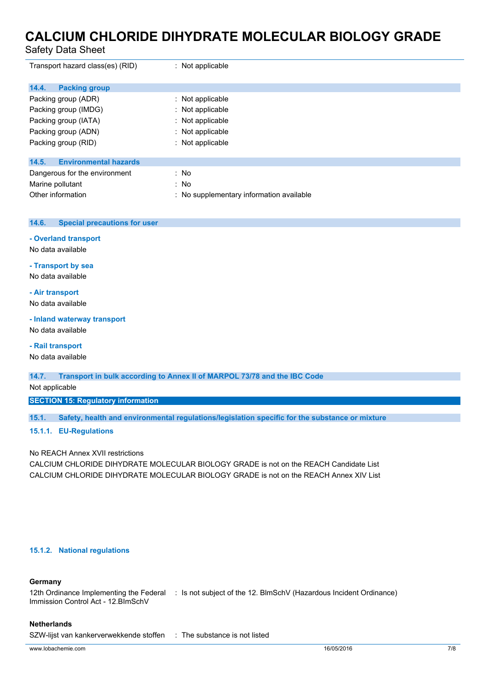Safety Data Sheet

| Transport hazard class(es) (RID)      | : Not applicable                         |
|---------------------------------------|------------------------------------------|
| <b>Packing group</b><br>14.4.         |                                          |
| Packing group (ADR)                   | $\therefore$ Not applicable              |
| Packing group (IMDG)                  | : Not applicable                         |
| Packing group (IATA)                  | : Not applicable                         |
| Packing group (ADN)                   | : Not applicable                         |
| Packing group (RID)                   | $:$ Not applicable                       |
| <b>Environmental hazards</b><br>14.5. |                                          |
| Dangerous for the environment         | : No                                     |
| Marine pollutant                      | : No                                     |
| Other information                     | : No supplementary information available |

#### **14.6. Special precautions for user**

#### **- Overland transport**

No data available

#### **- Transport by sea**

No data available

#### **- Air transport**

No data available

#### **- Inland waterway transport**

No data available

#### **- Rail transport**

No data available

**14.7. Transport in bulk according to Annex II of MARPOL 73/78 and the IBC Code**

#### Not applicable

**SECTION 15: Regulatory information**

**15.1. Safety, health and environmental regulations/legislation specific for the substance or mixture**

#### **15.1.1. EU-Regulations**

#### No REACH Annex XVII restrictions

CALCIUM CHLORIDE DIHYDRATE MOLECULAR BIOLOGY GRADE is not on the REACH Candidate List CALCIUM CHLORIDE DIHYDRATE MOLECULAR BIOLOGY GRADE is not on the REACH Annex XIV List

#### **15.1.2. National regulations**

#### **Germany**

12th Ordinance Implementing the Federal : Is not subject of the 12. BlmSchV (Hazardous Incident Ordinance) Immission Control Act - 12.BImSchV

#### **Netherlands**

SZW-lijst van kankerverwekkende stoffen : The substance is not listed